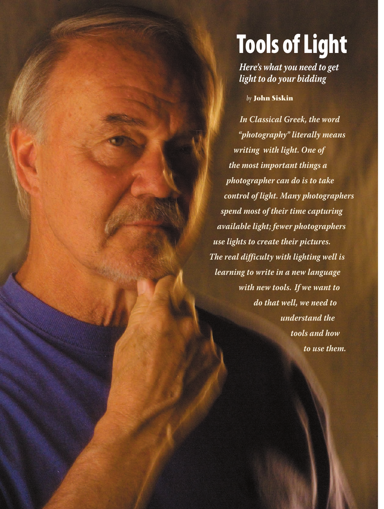# **Tools** of Light

*Here's what you need to get light to do your bidding*

*by* **John Siskin**

*In Classical Greek, the word "photography" literally means writing with light. One of the most important things a photographer can do is to take control of light. Many photographers spend most of their time capturing available light; fewer photographers use lights to create their pictures. The real difficulty with lighting well is learning to write in a new language with new tools. If we want to do that well, we need to understand the tools and how to use them.*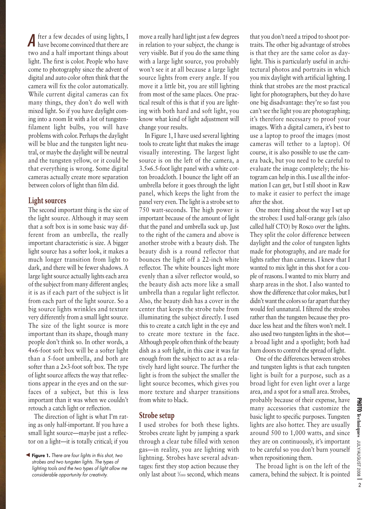fter a few decades of using lights, I **A** fter a few decades of using lights, I have become convinced that there are two and a half important things about light. The first is color. People who have come to photography since the advent of digital and auto color often think that the camera will fix the color automatically. While current digital cameras can fix many things, they don't do well with mixed light. So if you have daylight coming into a room lit with a lot of tungstenfilament light bulbs, you will have problems with color. Perhaps the daylight will be blue and the tungsten light neutral, or maybe the daylight will be neutral and the tungsten yellow, or it could be that everything is wrong. Some digital cameras actually create more separation between colors of light than film did.

## **Light sources**

The second important thing is the size of the light source. Although it may seem that a soft box is in some basic way different from an umbrella, the really important characteristic is size. A bigger light source has a softer look, it makes a much longer transition from light to dark, and there will be fewer shadows. A large light source actually lights each area of the subject from many different angles; it is as if each part of the subject is lit from each part of the light source. So a big source lights wrinkles and texture very differently from a small light source. The size of the light source is more important than its shape, though many people don't think so. In other words, a 4×6-foot soft box will be a softer light than a 5-foot umbrella, and both are softer than a 2×3-foot soft box. The type of light source affects the way that reflections appear in the eyes and on the surfaces of a subject, but this is less important than it was when we couldn't retouch a catch light or reflection.

The direction of light is what I'm rating as only half-important. If you have a small light source—maybe just a reflector on a light—it is totally critical; if you

move a really hard light just a few degrees in relation to your subject, the change is very visible. But if you do the same thing with a large light source, you probably won't see it at all because a large light source lights from every angle. If you move it a little bit, you are still lighting from most of the same places. One practical result of this is that if you are lighting with both hard and soft light, you know what kind of light adjustment will change your results.

In Figure 1, I have used several lighting tools to create light that makes the image visually interesting. The largest light source is on the left of the camera, a 3.5×6.5-foot light panel with a white cotton broadcloth. I bounce the light off an umbrella before it goes through the light panel, which keeps the light from the panel very even. The light is a strobe set to 750 watt-seconds. The high power is important because of the amount of light that the panel and umbrella suck up. Just to the right of the camera and above is another strobe with a beauty dish. The beauty dish is a round reflector that bounces the light off a 22-inch white reflector. The white bounces light more evenly than a silver reflector would, so the beauty dish acts more like a small umbrella than a regular light reflector. Also, the beauty dish has a cover in the center that keeps the strobe tube from illuminating the subject directly. I used this to create a catch light in the eye and to create more texture in the face. Although people often think of the beauty dish as a soft light, in this case it was far enough from the subject to act as a relatively hard light source. The further the light is from the subject the smaller the light source becomes, which gives you more texture and sharper transitions from white to black.

## **Strobe setup**

I used strobes for both these lights. Strobes create light by jumping a spark through a clear tube filled with xenon gas—in reality, you are lighting with lightning. Strobes have several advantages: first they stop action because they only last about <sup>1</sup> ⁄1000 second, which means

that you don't need a tripod to shoot portraits. The other big advantage of strobes is that they are the same color as daylight. This is particularly useful in architectural photos and portraits in which you mix daylight with artificial lighting. I think that strobes are the most practical light for photographers, but they do have one big disadvantage: they're so fast you can't see the light you are photographing; it's therefore necessary to proof your images. With a digital camera, it's best to use a laptop to proof the images (most cameras will tether to a laptop). Of course, it is also possible to use the camera back, but you need to be careful to evaluate the image completely; the histogram can help in this. I use all the information I can get, but I still shoot in Raw to make it easier to perfect the image after the shot.

One more thing about the way I set up the strobes: I used half-orange gels (also called half CTO) by Rosco over the lights. They split the color difference between daylight and the color of tungsten lights made for photography, and are made for lights rather than cameras. I knew that I wanted to mix light in this shot for a couple of reasons. I wanted to mix blurry and sharp areas in the shot. I also wanted to show the difference that color makes, but I didn't want the colors so far apart that they would feel unnatural. I filtered the strobes rather than the tungsten because they produce less heat and the filters won't melt. I also used two tungsten lights in the shot a broad light and a spotlight; both had barn doors to control the spread of light.

One of the differences between strobes and tungsten lights is that each tungsten light is built for a purpose, such as a broad light for even light over a large area, and a spot for a small area. Strobes, probably because of their expense, have many accessories that customize the basic light to specific purposes. Tungsten lights are also hotter. They are usually around 500 to 1,000 watts, and since they are on continuously, it's important to be careful so you don't burn yourself when repositioning them.

The broad light is on the left of the camera, behind the subject. It is pointed

**Figure 1.** *There are four lights in this shot, two* ▲*strobes and two tungsten lights. The types of lighting tools and the two types of light allow me considerable opportunity for creativity.*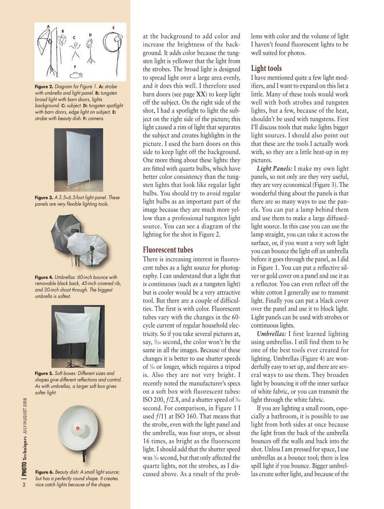

**Figure 2.** *Diagram for Figure 1.* **A:** *strobe with umbrella and light panel.* **B:** *tungsten broad light with barn doors, lights background.* **C:** *subject.* **D:** *tungsten spotlight with barn doors, edge light on subject.* **E:** *strobe with beauty dish.* **F:** *camera.*



**Figure 3.** *A 3.5*×*6.5-foot light panel. These panels are very flexible lighting tools.*



**Figure 4.** *Umbrellas: 60-inch bounce with removable black back, 45-inch covered rib, and 30-inch shoot through. The biggest umbrella is softest.*



**Figure 5.** *Soft boxes: Different sizes and shapes give different reflections and control. As with umbrellas, a larger soft box gives softer light.*



at the background to add color and increase the brightness of the background. It adds color because the tungsten light is yellower that the light from the strobes. The broad light is designed to spread light over a large area evenly, and it does this well. I therefore used barn doors (see page **XX**) to keep light off the subject. On the right side of the shot, I had a spotlight to light the subject on the right side of the picture; this light caused a rim of light that separates the subject and creates highlights in the picture. I used the barn doors on this side to keep light off the background. One more thing about these lights: they are fitted with quartz bulbs, which have better color consistency than the tungsten lights that look like regular light bulbs. You should try to avoid regular light bulbs as an important part of the image because they are much more yellow than a professional tungsten light source. You can see a diagram of the lighting for the shot in Figure 2.

## **Fluorescent tubes**

There is increasing interest in fluorescent tubes as a light source for photography. I can understand that a light that is continuous (such as a tungsten light) but is cooler would be a very attractive tool. But there are a couple of difficulties. The first is with color. Fluorescent tubes vary with the changes in the 60 cycle current of regular household electricity. So if you take several pictures at, say, <sup>1</sup> ⁄250 second, the color won't be the same in all the images. Because of these changes it is better to use shutter speeds of <sup>1</sup> ⁄30 or longer, which requires a tripod is. Also they are not very bright. I recently noted the manufacturer's specs on a soft box with fluorescent tubes: ISO 200,  $f/2.8$ , and a shutter speed of  $\frac{1}{30}$ second. For comparison, in Figure 1 I used ƒ/11 at ISO 160. That means that the strobe, even with the light panel and the umbrella, was four stops, or about 16 times, as bright as the fluorescent light. I should add that the shutter speed was <sup>1/1</sup> second, but that only affected the quartz lights, not the strobes, as I discussed above. As a result of the problems with color and the volume of light I haven't found fluorescent lights to be well suited for photos.

## **Light tools**

I have mentioned quite a few light modifiers, and I want to expand on this list a little. Many of these tools would work well with both strobes and tungsten lights, but a few, because of the heat, shouldn't be used with tungstens. First I'll discuss tools that make lights bigger light sources. I should also point out that these are the tools I actually work with, so they are a little beat-up in my pictures.

*Light Panels:* I make my own light panels, so not only are they very useful, they are very economical (Figure 3). The wonderful thing about the panels is that there are so many ways to use the panels. You can put a lamp behind them and use them to make a large diffusedlight source. In this case you can use the lamp straight, you can rake it across the surface, or, if you want a very soft light you can bounce the light off an umbrella before it goes through the panel, as I did in Figure 1. You can put a reflective silver or gold cover on a panel and use it as a reflector. You can even reflect off the white cotton I generally use to transmit light. Finally you can put a black cover over the panel and use it to block light. Light panels can be used with strobes or continuous lights.

*Umbrellas:* I first learned lighting using umbrellas. I still find them to be one of the best tools ever created for lighting. Umbrellas (Figure 4) are wonderfully easy to set up, and there are several ways to use them. They broaden light by bouncing it off the inner surface of white fabric, or you can transmit the light through the white fabric.

If you are lighting a small room, especially a bathroom, it is possible to use light from both sides at once because the light from the back of the umbrella bounces off the walls and back into the shot. Unless I am pressed for space, I use umbrellas as a bounce tool; there is less spill light if you bounce. Bigger umbrellas create softer light, and because of the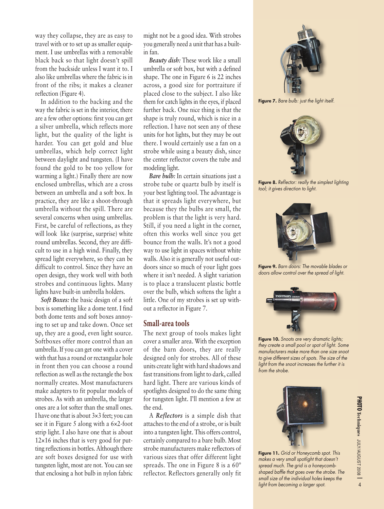way they collapse, they are as easy to travel with or to set up as smaller equipment. I use umbrellas with a removable black back so that light doesn't spill from the backside unless I want it to. I also like umbrellas where the fabric is in front of the ribs; it makes a cleaner reflection (Figure 4).

In addition to the backing and the way the fabric is set in the interior, there are a few other options: first you can get a silver umbrella, which reflects more light, but the quality of the light is harder. You can get gold and blue umbrellas, which help correct light between daylight and tungsten. (I have found the gold to be too yellow for warming a light.) Finally there are now enclosed umbrellas, which are a cross between an umbrella and a soft box. In practice, they are like a shoot-through umbrella without the spill. There are several concerns when using umbrellas. First, be careful of reflections, as they will look like (surprise, surprise) white round umbrellas. Second, they are difficult to use in a high wind. Finally, they spread light everywhere, so they can be difficult to control. Since they have an open design, they work well with both strobes and continuous lights. Many lights have built-in umbrella holders.

*Soft Boxes:* the basic design of a soft box is something like a dome tent. I find both dome tents and soft boxes annoying to set up and take down. Once set up, they are a good, even light source. Softboxes offer more control than an umbrella. If you can get one with a cover with that has a round or rectangular hole in front then you can choose a round reflection as well as the rectangle the box normally creates. Most manufacturers make adapters to fit popular models of strobes. As with an umbrella, the larger ones are a lot softer than the small ones. I have one that is about 3×3 feet; you can see it in Figure 5 along with a 6×2-foot strip light. I also have one that is about 12×16 inches that is very good for putting reflections in bottles. Although there are soft boxes designed for use with tungsten light, most are not. You can see that enclosing a hot bulb in nylon fabric

might not be a good idea. With strobes you generally need a unit that has a builtin fan.

*Beauty dish:* These work like a small umbrella or soft box, but with a defined shape. The one in Figure 6 is 22 inches across, a good size for portraiture if placed close to the subject. I also like them for catch lights in the eyes, if placed further back. One nice thing is that the shape is truly round, which is nice in a reflection. I have not seen any of these units for hot lights, but they may be out there. I would certainly use a fan on a strobe while using a beauty dish, since the center reflector covers the tube and modeling light.

*Bare bulb:* In certain situations just a strobe tube or quartz bulb by itself is your best lighting tool. The advantage is that it spreads light everywhere, but because they the bulbs are small, the problem is that the light is very hard. Still, if you need a light in the corner, often this works well since you get bounce from the walls. It's not a good way to use light in spaces without white walls. Also it is generally not useful outdoors since so much of your light goes where it isn't needed. A slight variation is to place a translucent plastic bottle over the bulb, which softens the light a little. One of my strobes is set up without a reflector in Figure 7.

## **Small-area tools**

The next group of tools makes light cover a smaller area. With the exception of the barn doors, they are really designed only for strobes. All of these units create light with hard shadows and fast transitions from light to dark, called hard light. There are various kinds of spotlights designed to do the same thing for tungsten light. I'll mention a few at the end.

A *Reflectors* is a simple dish that attaches to the end of a strobe, or is built into a tungsten light. This offers control, certainly compared to a bare bulb. Most strobe manufacturers make reflectors of various sizes that offer different light spreads. The one in Figure 8 is a  $60^{\circ}$ reflector. Reflectors generally only fit



**Figure 7.** *Bare bulb: just the light itself.*



**Figure 8.** *Reflector: really the simplest lighting tool; it gives direction to light.*



**Figure 9.** *Barn doors: The movable blades or doors allow control over the spread of light.*



**Figure 10.** *Snoots are very dramatic lights; they create a small pool or spot of light. Some manufacturers make more than one size snoot to give different sizes of spots. The size of the light from the snoot increases the further it is from the strobe.*



*makes a very small spotlight that doesn't spread much. The grid is a honeycombshaped baffle that goes over the strobe. The small size of the individual holes keeps the light from becoming a larger spot.*